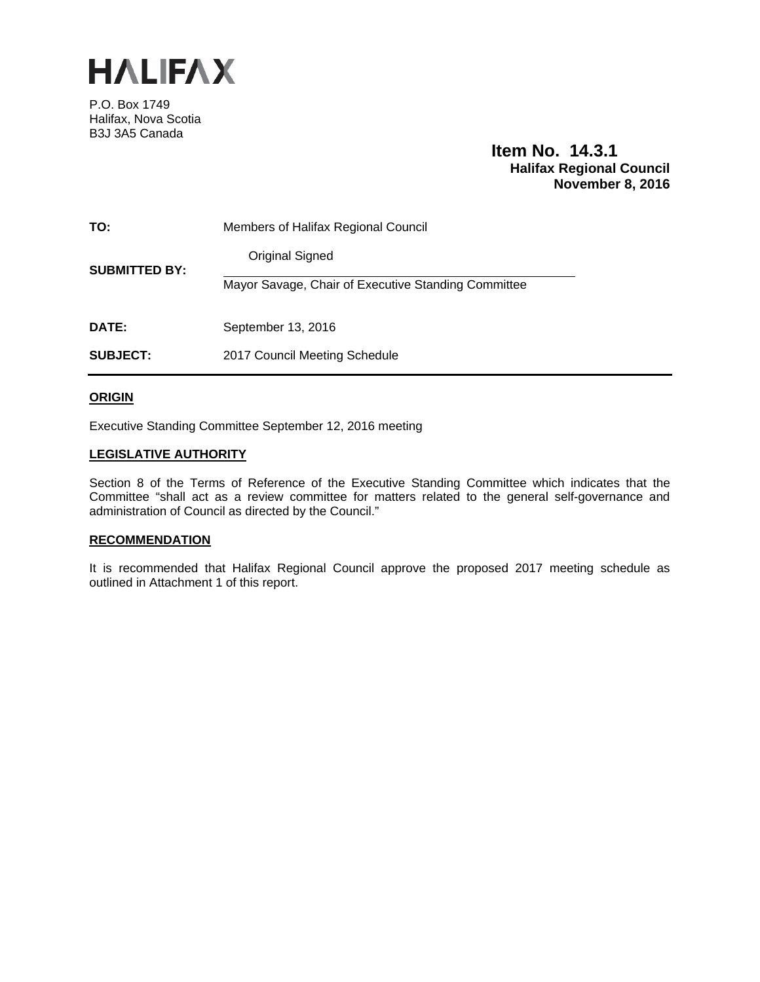

P.O. Box 1749 Halifax, Nova Scotia B3J 3A5 Canada

# **Item No. 14.3.1 Halifax Regional Council November 8, 2016**

| TO:                  | Members of Halifax Regional Council                 |
|----------------------|-----------------------------------------------------|
| <b>SUBMITTED BY:</b> | Original Signed                                     |
|                      | Mayor Savage, Chair of Executive Standing Committee |
| <b>DATE:</b>         | September 13, 2016                                  |
| <b>SUBJECT:</b>      | 2017 Council Meeting Schedule                       |

# **ORIGIN**

Executive Standing Committee September 12, 2016 meeting

# **LEGISLATIVE AUTHORITY**

Section 8 of the Terms of Reference of the Executive Standing Committee which indicates that the Committee "shall act as a review committee for matters related to the general self-governance and administration of Council as directed by the Council."

# **RECOMMENDATION**

It is recommended that Halifax Regional Council approve the proposed 2017 meeting schedule as outlined in Attachment 1 of this report.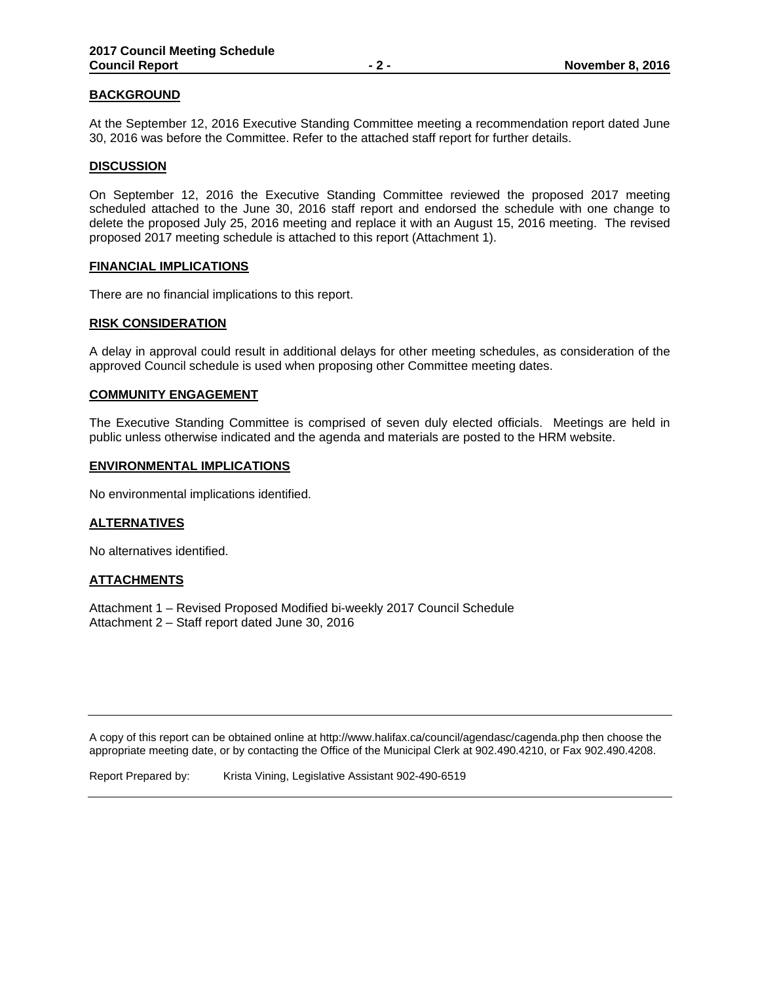# **BACKGROUND**

At the September 12, 2016 Executive Standing Committee meeting a recommendation report dated June 30, 2016 was before the Committee. Refer to the attached staff report for further details.

#### **DISCUSSION**

On September 12, 2016 the Executive Standing Committee reviewed the proposed 2017 meeting scheduled attached to the June 30, 2016 staff report and endorsed the schedule with one change to delete the proposed July 25, 2016 meeting and replace it with an August 15, 2016 meeting. The revised proposed 2017 meeting schedule is attached to this report (Attachment 1).

#### **FINANCIAL IMPLICATIONS**

There are no financial implications to this report.

#### **RISK CONSIDERATION**

A delay in approval could result in additional delays for other meeting schedules, as consideration of the approved Council schedule is used when proposing other Committee meeting dates.

#### **COMMUNITY ENGAGEMENT**

The Executive Standing Committee is comprised of seven duly elected officials. Meetings are held in public unless otherwise indicated and the agenda and materials are posted to the HRM website.

#### **ENVIRONMENTAL IMPLICATIONS**

No environmental implications identified.

## **ALTERNATIVES**

No alternatives identified.

## **ATTACHMENTS**

Attachment 1 – Revised Proposed Modified bi-weekly 2017 Council Schedule Attachment 2 – Staff report dated June 30, 2016

A copy of this report can be obtained online at http://www.halifax.ca/council/agendasc/cagenda.php then choose the appropriate meeting date, or by contacting the Office of the Municipal Clerk at 902.490.4210, or Fax 902.490.4208.

Report Prepared by: Krista Vining, Legislative Assistant 902-490-6519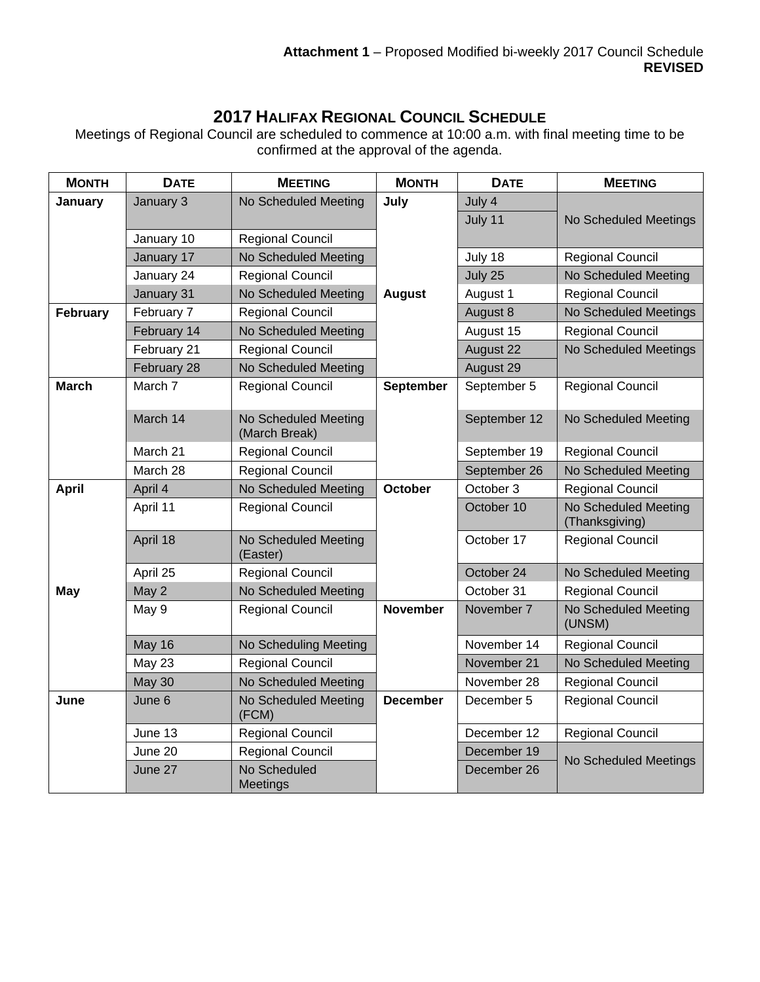# **2017 HALIFAX REGIONAL COUNCIL SCHEDULE**

Meetings of Regional Council are scheduled to commence at 10:00 a.m. with final meeting time to be confirmed at the approval of the agenda.

| <b>MONTH</b> | <b>DATE</b>   | <b>MEETING</b>                        | <b>MONTH</b>     | <b>DATE</b>  | <b>MEETING</b>                                |
|--------------|---------------|---------------------------------------|------------------|--------------|-----------------------------------------------|
| January      | January 3     | No Scheduled Meeting                  | July             | July 4       |                                               |
|              |               |                                       |                  | July 11      | No Scheduled Meetings                         |
|              | January 10    | <b>Regional Council</b>               |                  |              |                                               |
|              | January 17    | No Scheduled Meeting                  |                  | July 18      | Regional Council                              |
|              | January 24    | <b>Regional Council</b>               |                  | July 25      | No Scheduled Meeting                          |
|              | January 31    | No Scheduled Meeting                  | <b>August</b>    | August 1     | <b>Regional Council</b>                       |
| February     | February 7    | <b>Regional Council</b>               |                  | August 8     | No Scheduled Meetings                         |
|              | February 14   | No Scheduled Meeting                  |                  | August 15    | Regional Council                              |
|              | February 21   | Regional Council                      |                  | August 22    | No Scheduled Meetings                         |
|              | February 28   | No Scheduled Meeting                  |                  | August 29    |                                               |
| <b>March</b> | March 7       | <b>Regional Council</b>               | <b>September</b> | September 5  | <b>Regional Council</b>                       |
|              | March 14      | No Scheduled Meeting<br>(March Break) |                  | September 12 | No Scheduled Meeting                          |
|              | March 21      | Regional Council                      |                  | September 19 | Regional Council                              |
|              | March 28      | <b>Regional Council</b>               |                  | September 26 | No Scheduled Meeting                          |
| <b>April</b> | April 4       | No Scheduled Meeting                  | <b>October</b>   | October 3    | <b>Regional Council</b>                       |
|              | April 11      | Regional Council                      |                  | October 10   | <b>No Scheduled Meeting</b><br>(Thanksgiving) |
|              | April 18      | No Scheduled Meeting<br>(Easter)      |                  | October 17   | Regional Council                              |
|              | April 25      | <b>Regional Council</b>               |                  | October 24   | No Scheduled Meeting                          |
| May          | May 2         | No Scheduled Meeting                  |                  | October 31   | Regional Council                              |
|              | May 9         | <b>Regional Council</b>               | <b>November</b>  | November 7   | No Scheduled Meeting<br>(UNSM)                |
|              | May 16        | No Scheduling Meeting                 |                  | November 14  | Regional Council                              |
|              | May 23        | <b>Regional Council</b>               |                  | November 21  | No Scheduled Meeting                          |
|              | <b>May 30</b> | No Scheduled Meeting                  |                  | November 28  | Regional Council                              |
| June         | June 6        | No Scheduled Meeting<br>(FCM)         | <b>December</b>  | December 5   | Regional Council                              |
|              | June 13       | Regional Council                      |                  | December 12  | Regional Council                              |
|              | June 20       | <b>Regional Council</b>               |                  | December 19  |                                               |
|              | June 27       | No Scheduled<br>Meetings              |                  | December 26  | No Scheduled Meetings                         |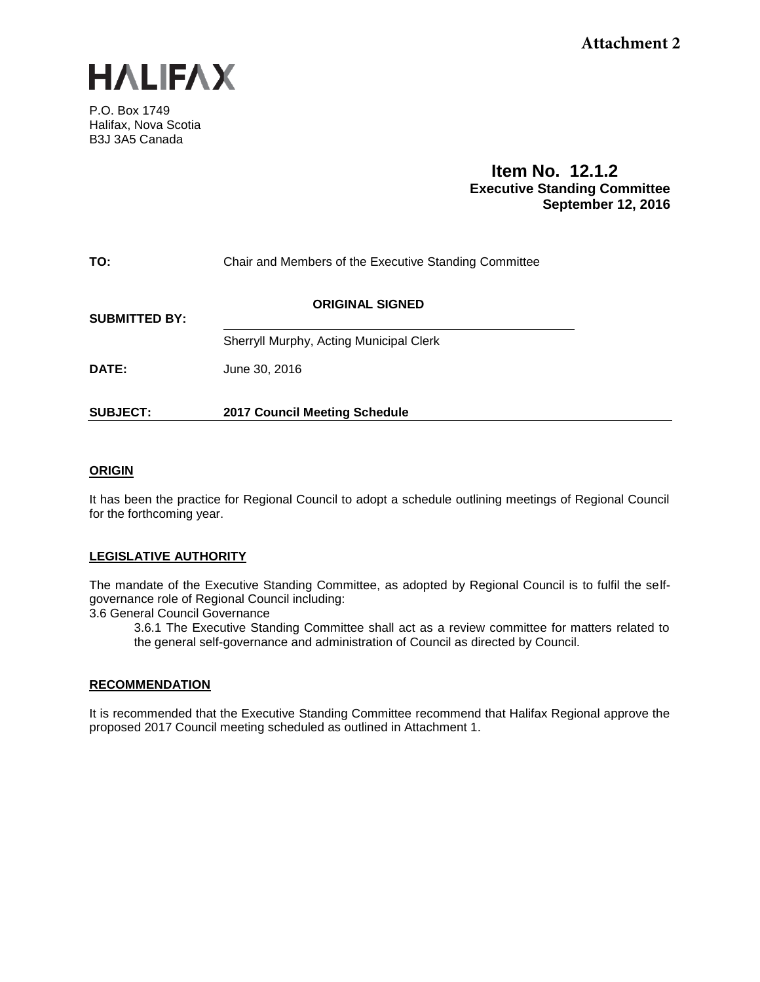

P.O. Box 1749 Halifax, Nova Scotia B3J 3A5 Canada

# **Item No. 12.1.2 Executive Standing Committee September 12, 2016**

| TO:                  | Chair and Members of the Executive Standing Committee |  |  |  |  |
|----------------------|-------------------------------------------------------|--|--|--|--|
| <b>SUBMITTED BY:</b> | <b>ORIGINAL SIGNED</b>                                |  |  |  |  |
|                      | Sherryll Murphy, Acting Municipal Clerk               |  |  |  |  |
| DATE:                | June 30, 2016                                         |  |  |  |  |
| <b>SUBJECT:</b>      | <b>2017 Council Meeting Schedule</b>                  |  |  |  |  |

# **ORIGIN**

It has been the practice for Regional Council to adopt a schedule outlining meetings of Regional Council for the forthcoming year.

# **LEGISLATIVE AUTHORITY**

The mandate of the Executive Standing Committee, as adopted by Regional Council is to fulfil the selfgovernance role of Regional Council including:

3.6 General Council Governance

3.6.1 The Executive Standing Committee shall act as a review committee for matters related to the general self-governance and administration of Council as directed by Council.

## **RECOMMENDATION**

It is recommended that the Executive Standing Committee recommend that Halifax Regional approve the proposed 2017 Council meeting scheduled as outlined in Attachment 1.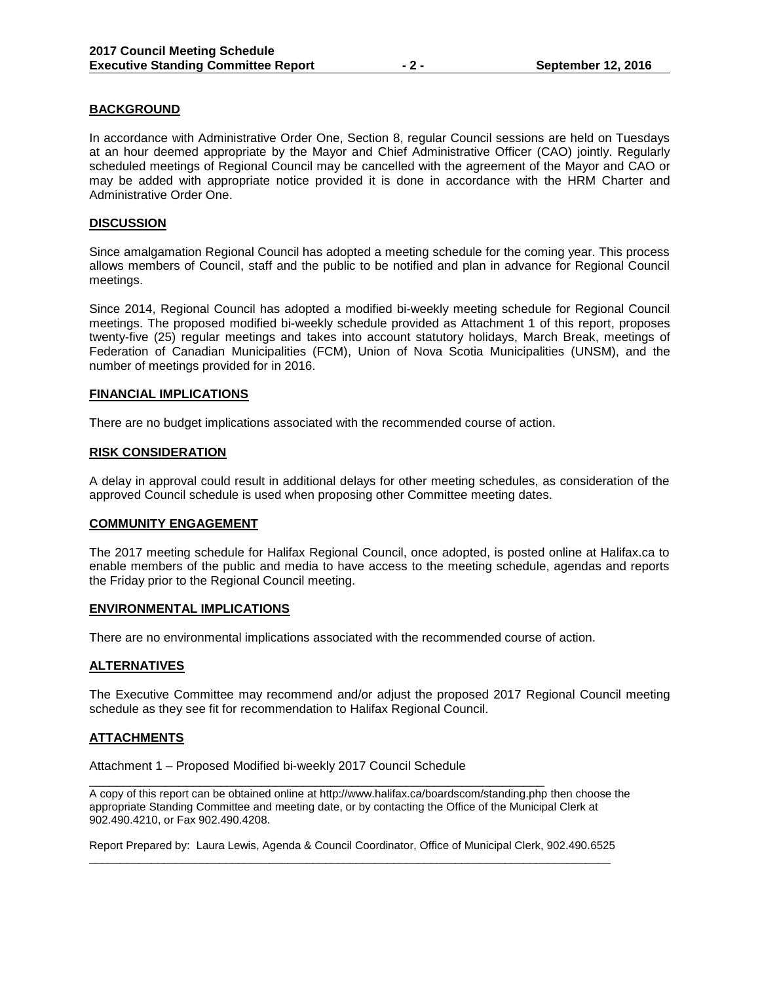# **BACKGROUND**

In accordance with Administrative Order One, Section 8, regular Council sessions are held on Tuesdays at an hour deemed appropriate by the Mayor and Chief Administrative Officer (CAO) jointly. Regularly scheduled meetings of Regional Council may be cancelled with the agreement of the Mayor and CAO or may be added with appropriate notice provided it is done in accordance with the HRM Charter and Administrative Order One.

#### **DISCUSSION**

Since amalgamation Regional Council has adopted a meeting schedule for the coming year. This process allows members of Council, staff and the public to be notified and plan in advance for Regional Council meetings.

Since 2014, Regional Council has adopted a modified bi-weekly meeting schedule for Regional Council meetings. The proposed modified bi-weekly schedule provided as Attachment 1 of this report, proposes twenty-five (25) regular meetings and takes into account statutory holidays, March Break, meetings of Federation of Canadian Municipalities (FCM), Union of Nova Scotia Municipalities (UNSM), and the number of meetings provided for in 2016.

#### **FINANCIAL IMPLICATIONS**

There are no budget implications associated with the recommended course of action.

#### **RISK CONSIDERATION**

A delay in approval could result in additional delays for other meeting schedules, as consideration of the approved Council schedule is used when proposing other Committee meeting dates.

#### **COMMUNITY ENGAGEMENT**

The 2017 meeting schedule for Halifax Regional Council, once adopted, is posted online at Halifax.ca to enable members of the public and media to have access to the meeting schedule, agendas and reports the Friday prior to the Regional Council meeting.

#### **ENVIRONMENTAL IMPLICATIONS**

There are no environmental implications associated with the recommended course of action.

## **ALTERNATIVES**

The Executive Committee may recommend and/or adjust the proposed 2017 Regional Council meeting schedule as they see fit for recommendation to Halifax Regional Council.

## **ATTACHMENTS**

Attachment 1 – Proposed Modified bi-weekly 2017 Council Schedule

\_\_\_\_\_\_\_\_\_\_\_\_\_\_\_\_\_\_\_\_\_\_\_\_\_\_\_\_\_\_\_\_\_\_\_\_\_\_\_\_\_\_\_\_\_\_\_\_\_\_\_\_\_\_\_\_\_\_\_\_\_\_\_\_\_\_ A copy of this report can be obtained online at http://www.halifax.ca/boardscom/standing.php then choose the appropriate Standing Committee and meeting date, or by contacting the Office of the Municipal Clerk at 902.490.4210, or Fax 902.490.4208.

Report Prepared by: Laura Lewis, Agenda & Council Coordinator, Office of Municipal Clerk, 902.490.6525 \_\_\_\_\_\_\_\_\_\_\_\_\_\_\_\_\_\_\_\_\_\_\_\_\_\_\_\_\_\_\_\_\_\_\_\_\_\_\_\_\_\_\_\_\_\_\_\_\_\_\_\_\_\_\_\_\_\_\_\_\_\_\_\_\_\_\_\_\_\_\_\_\_\_\_\_\_\_\_\_\_\_\_\_